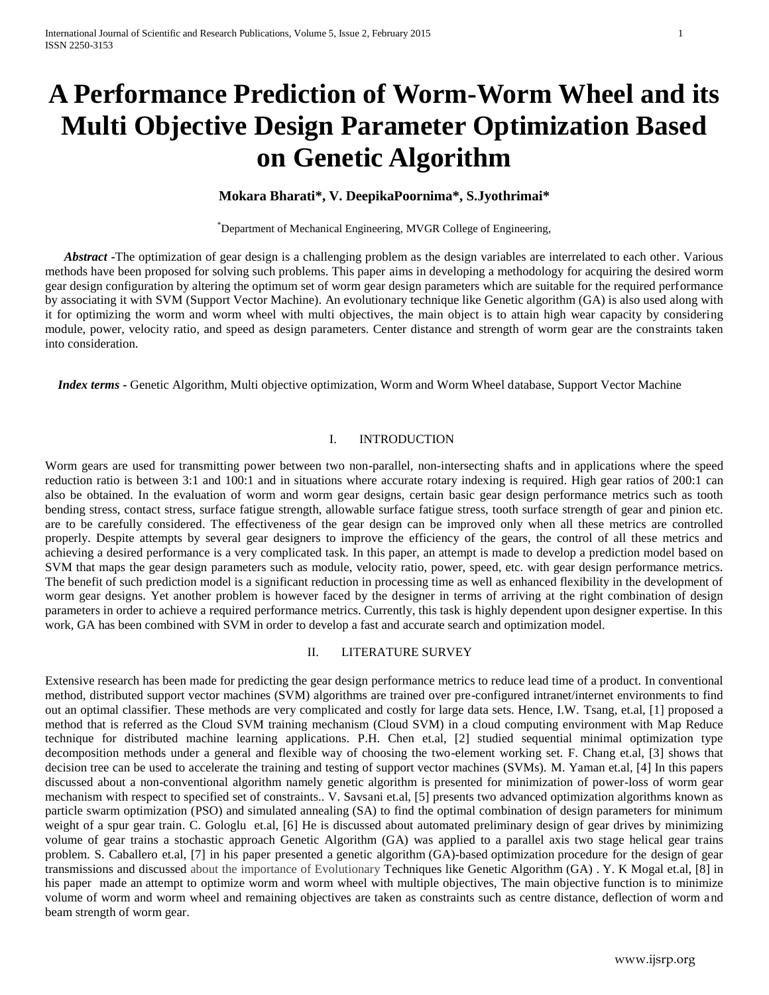# **A Performance Prediction of Worm-Worm Wheel and its Multi Objective Design Parameter Optimization Based on Genetic Algorithm**

# **Mokara Bharati\*, V. DeepikaPoornima\*, S.Jyothrimai\***

\*Department of Mechanical Engineering, MVGR College of Engineering,

*Abstract* **-**The optimization of gear design is a challenging problem as the design variables are interrelated to each other. Various methods have been proposed for solving such problems. This paper aims in developing a methodology for acquiring the desired worm gear design configuration by altering the optimum set of worm gear design parameters which are suitable for the required performance by associating it with SVM (Support Vector Machine). An evolutionary technique like Genetic algorithm (GA) is also used along with it for optimizing the worm and worm wheel with multi objectives, the main object is to attain high wear capacity by considering module, power, velocity ratio, and speed as design parameters. Center distance and strength of worm gear are the constraints taken into consideration.

 *Index terms* **-** Genetic Algorithm, Multi objective optimization, Worm and Worm Wheel database, Support Vector Machine

# I. INTRODUCTION

Worm gears are used for transmitting power between two non-parallel, non-intersecting shafts and in applications where the speed reduction ratio is between 3:1 and 100:1 and in situations where accurate rotary indexing is required. High gear ratios of 200:1 can also be obtained. In the evaluation of worm and worm gear designs, certain basic gear design performance metrics such as tooth bending stress, contact stress, surface fatigue strength, allowable surface fatigue stress, tooth surface strength of gear and pinion etc. are to be carefully considered. The effectiveness of the gear design can be improved only when all these metrics are controlled properly. Despite attempts by several gear designers to improve the efficiency of the gears, the control of all these metrics and achieving a desired performance is a very complicated task. In this paper, an attempt is made to develop a prediction model based on SVM that maps the gear design parameters such as module, velocity ratio, power, speed, etc. with gear design performance metrics. The benefit of such prediction model is a significant reduction in processing time as well as enhanced flexibility in the development of worm gear designs. Yet another problem is however faced by the designer in terms of arriving at the right combination of design parameters in order to achieve a required performance metrics. Currently, this task is highly dependent upon designer expertise. In this work, GA has been combined with SVM in order to develop a fast and accurate search and optimization model.

# II. LITERATURE SURVEY

Extensive research has been made for predicting the gear design performance metrics to reduce lead time of a product. In conventional method, distributed support vector machines (SVM) algorithms are trained over pre-configured intranet/internet environments to find out an optimal classifier. These methods are very complicated and costly for large data sets. Hence, I.W. Tsang, et.al, [1] proposed a method that is referred as the Cloud SVM training mechanism (Cloud SVM) in a cloud computing environment with Map Reduce technique for distributed machine learning applications. P.H. Chen et.al, [2] studied sequential minimal optimization type decomposition methods under a general and flexible way of choosing the two-element working set. F. Chang et.al, [3] shows that decision tree can be used to accelerate the training and testing of support vector machines (SVMs). M. Yaman et.al, [4] In this papers discussed about a non-conventional algorithm namely genetic algorithm is presented for minimization of power-loss of worm gear mechanism with respect to specified set of constraints.. V. Savsani et.al, [5] presents two advanced optimization algorithms known as particle swarm optimization (PSO) and [simulated annealing](http://academic.research.microsoft.com/Keyword/37802/simulated-annealing) (SA) to find the optimal combination of design parameters for minimum weight of a spur gear train. C. Gologlu et.al, [6] He is discussed about automated preliminary design of gear drives by minimizing volume of gear trains a stochastic approach Genetic Algorithm (GA) was applied to a parallel axis two stage helical gear trains problem. S. Caballero et.al, [7] in his paper presented a genetic algorithm (GA)-based optimization procedure for the design of gear transmissions and discussed about the importance of Evolutionary Techniques like Genetic Algorithm (GA) . Y. K Mogal et.al, [8] in his paper made an attempt to optimize worm and worm wheel with multiple objectives, The main objective function is to minimize volume of worm and worm wheel and remaining objectives are taken as constraints such as centre distance, deflection of worm and beam strength of worm gear.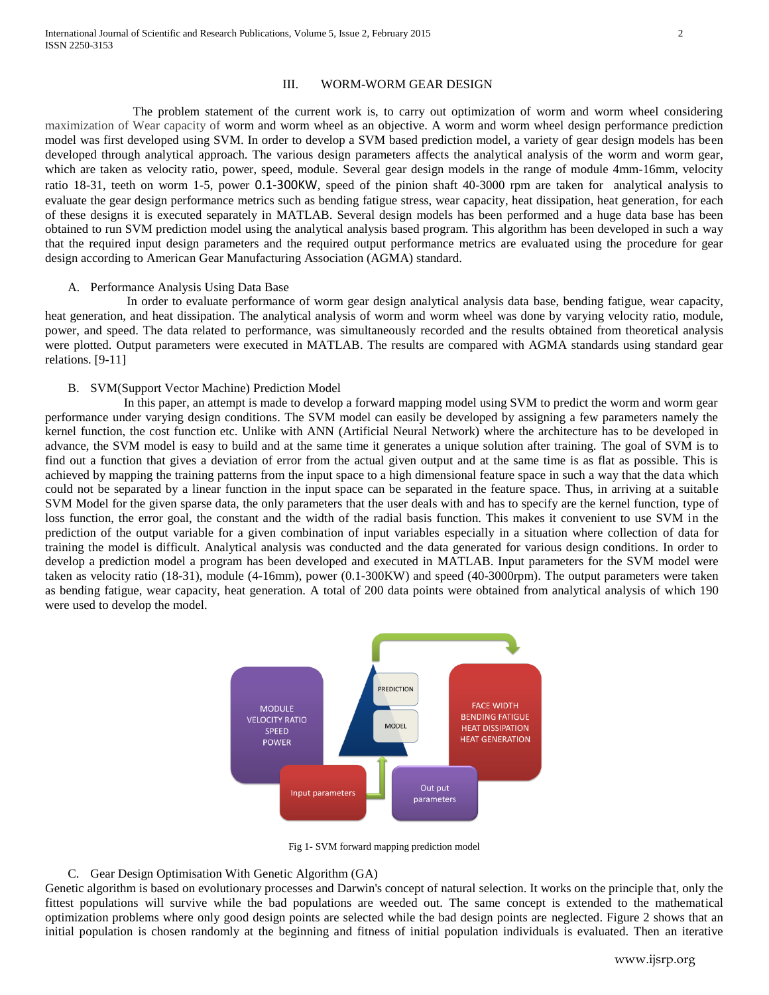# III. WORM-WORM GEAR DESIGN

 The problem statement of the current work is, to carry out optimization of worm and worm wheel considering maximization of Wear capacity of worm and worm wheel as an objective. A worm and worm wheel design performance prediction model was first developed using SVM. In order to develop a SVM based prediction model, a variety of gear design models has been developed through analytical approach. The various design parameters affects the analytical analysis of the worm and worm gear, which are taken as velocity ratio, power, speed, module. Several gear design models in the range of module 4mm-16mm, velocity ratio 18-31, teeth on worm 1-5, power 0.1-300KW, speed of the pinion shaft 40-3000 rpm are taken for analytical analysis to evaluate the gear design performance metrics such as bending fatigue stress, wear capacity, heat dissipation, heat generation, for each of these designs it is executed separately in MATLAB. Several design models has been performed and a huge data base has been obtained to run SVM prediction model using the analytical analysis based program. This algorithm has been developed in such a way that the required input design parameters and the required output performance metrics are evaluated using the procedure for gear design according to American Gear Manufacturing Association (AGMA) standard.

## A. Performance Analysis Using Data Base

 In order to evaluate performance of worm gear design analytical analysis data base, bending fatigue, wear capacity, heat generation, and heat dissipation. The analytical analysis of worm and worm wheel was done by varying velocity ratio, module, power, and speed. The data related to performance, was simultaneously recorded and the results obtained from theoretical analysis were plotted. Output parameters were executed in MATLAB. The results are compared with AGMA standards using standard gear relations. [9-11]

## B. SVM(Support Vector Machine) Prediction Model

 In this paper, an attempt is made to develop a forward mapping model using SVM to predict the worm and worm gear performance under varying design conditions. The SVM model can easily be developed by assigning a few parameters namely the kernel function, the cost function etc. Unlike with ANN (Artificial Neural Network) where the architecture has to be developed in advance, the SVM model is easy to build and at the same time it generates a unique solution after training. The goal of SVM is to find out a function that gives a deviation of error from the actual given output and at the same time is as flat as possible. This is achieved by mapping the training patterns from the input space to a high dimensional feature space in such a way that the data which could not be separated by a linear function in the input space can be separated in the feature space. Thus, in arriving at a suitable SVM Model for the given sparse data, the only parameters that the user deals with and has to specify are the kernel function, type of loss function, the error goal, the constant and the width of the radial basis function. This makes it convenient to use SVM in the prediction of the output variable for a given combination of input variables especially in a situation where collection of data for training the model is difficult. Analytical analysis was conducted and the data generated for various design conditions. In order to develop a prediction model a program has been developed and executed in MATLAB. Input parameters for the SVM model were taken as velocity ratio (18-31), module (4-16mm), power (0.1-300KW) and speed (40-3000rpm). The output parameters were taken as bending fatigue, wear capacity, heat generation. A total of 200 data points were obtained from analytical analysis of which 190 were used to develop the model.



Fig 1- SVM forward mapping prediction model

#### C. Gear Design Optimisation With Genetic Algorithm (GA)

Genetic algorithm is based on evolutionary processes and Darwin's concept of natural selection. It works on the principle that, only the fittest populations will survive while the bad populations are weeded out. The same concept is extended to the mathematical optimization problems where only good design points are selected while the bad design points are neglected. Figure 2 shows that an initial population is chosen randomly at the beginning and fitness of initial population individuals is evaluated. Then an iterative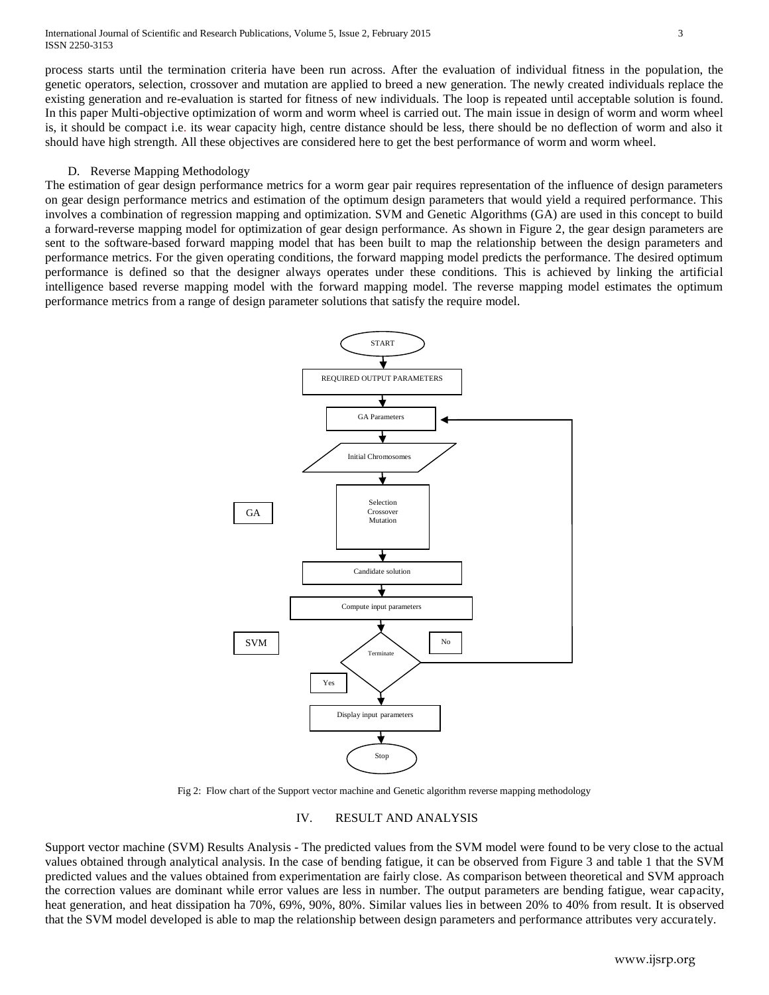International Journal of Scientific and Research Publications, Volume 5, Issue 2, February 2015 3 ISSN 2250-3153

process starts until the termination criteria have been run across. After the evaluation of individual fitness in the population, the genetic operators, selection, crossover and mutation are applied to breed a new generation. The newly created individuals replace the existing generation and re-evaluation is started for fitness of new individuals. The loop is repeated until acceptable solution is found. In this paper Multi-objective optimization of worm and worm wheel is carried out. The main issue in design of worm and worm wheel is, it should be compact i.e. its wear capacity high, centre distance should be less, there should be no deflection of worm and also it should have high strength. All these objectives are considered here to get the best performance of worm and worm wheel.

## D. Reverse Mapping Methodology

The estimation of gear design performance metrics for a worm gear pair requires representation of the influence of design parameters on gear design performance metrics and estimation of the optimum design parameters that would yield a required performance. This involves a combination of regression mapping and optimization. SVM and Genetic Algorithms (GA) are used in this concept to build a forward-reverse mapping model for optimization of gear design performance. As shown in Figure 2, the gear design parameters are sent to the software-based forward mapping model that has been built to map the relationship between the design parameters and performance metrics. For the given operating conditions, the forward mapping model predicts the performance. The desired optimum performance is defined so that the designer always operates under these conditions. This is achieved by linking the artificial intelligence based reverse mapping model with the forward mapping model. The reverse mapping model estimates the optimum performance metrics from a range of design parameter solutions that satisfy the require model.



Fig 2: Flow chart of the Support vector machine and Genetic algorithm reverse mapping methodology

## IV. RESULT AND ANALYSIS

Support vector machine (SVM) Results Analysis - The predicted values from the SVM model were found to be very close to the actual values obtained through analytical analysis. In the case of bending fatigue, it can be observed from Figure 3 and table 1 that the SVM predicted values and the values obtained from experimentation are fairly close. As comparison between theoretical and SVM approach the correction values are dominant while error values are less in number. The output parameters are bending fatigue, wear capacity, heat generation, and heat dissipation ha 70%, 69%, 90%, 80%. Similar values lies in between 20% to 40% from result. It is observed that the SVM model developed is able to map the relationship between design parameters and performance attributes very accurately.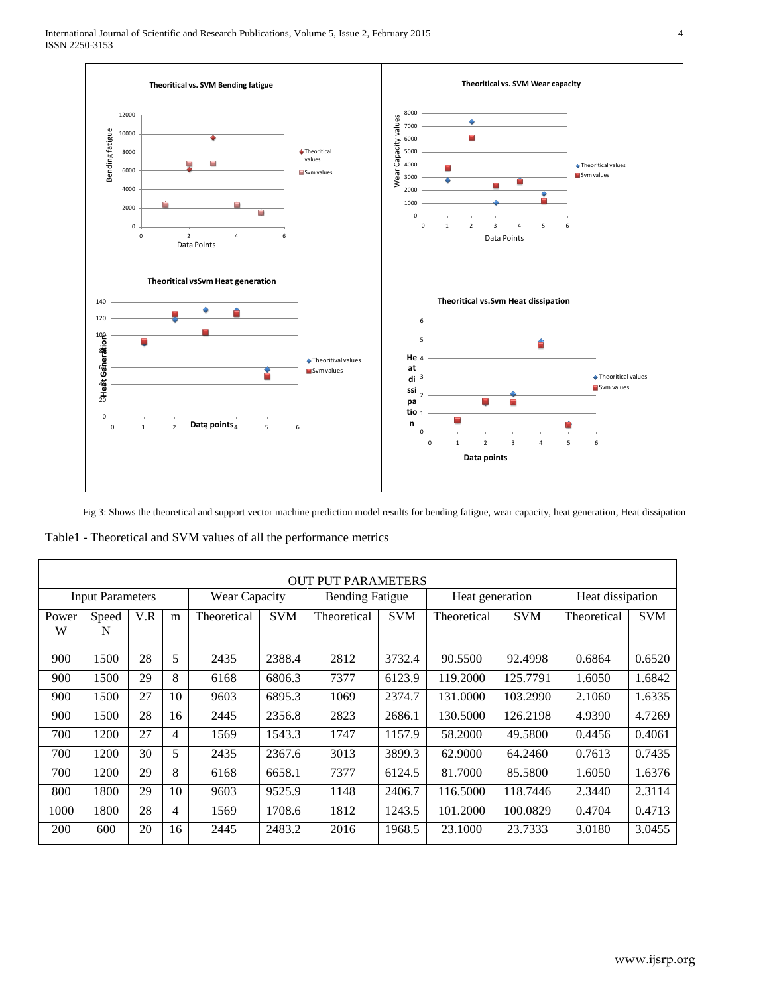

Fig 3: Shows the theoretical and support vector machine prediction model results for bending fatigue, wear capacity, heat generation, Heat dissipation

Table1 **-** Theoretical and SVM values of all the performance metrics

|                         | <b>OUT PUT PARAMETERS</b> |     |    |               |            |                        |            |                 |            |                  |            |
|-------------------------|---------------------------|-----|----|---------------|------------|------------------------|------------|-----------------|------------|------------------|------------|
| <b>Input Parameters</b> |                           |     |    | Wear Capacity |            | <b>Bending Fatigue</b> |            | Heat generation |            | Heat dissipation |            |
| Power<br>W              | Speed<br>N                | V.R | m  | Theoretical   | <b>SVM</b> | Theoretical            | <b>SVM</b> | Theoretical     | <b>SVM</b> | Theoretical      | <b>SVM</b> |
| 900                     | 1500                      | 28  | 5  | 2435          | 2388.4     | 2812                   | 3732.4     | 90.5500         | 92.4998    | 0.6864           | 0.6520     |
| 900                     | 1500                      | 29  | 8  | 6168          | 6806.3     | 7377                   | 6123.9     | 119.2000        | 125.7791   | 1.6050           | 1.6842     |
| 900                     | 1500                      | 27  | 10 | 9603          | 6895.3     | 1069                   | 2374.7     | 131.0000        | 103.2990   | 2.1060           | 1.6335     |
| 900                     | 1500                      | 28  | 16 | 2445          | 2356.8     | 2823                   | 2686.1     | 130.5000        | 126.2198   | 4.9390           | 4.7269     |
| 700                     | 1200                      | 27  | 4  | 1569          | 1543.3     | 1747                   | 1157.9     | 58.2000         | 49.5800    | 0.4456           | 0.4061     |
| 700                     | 1200                      | 30  | 5  | 2435          | 2367.6     | 3013                   | 3899.3     | 62.9000         | 64.2460    | 0.7613           | 0.7435     |
| 700                     | 1200                      | 29  | 8  | 6168          | 6658.1     | 7377                   | 6124.5     | 81.7000         | 85.5800    | 1.6050           | 1.6376     |
| 800                     | 1800                      | 29  | 10 | 9603          | 9525.9     | 1148                   | 2406.7     | 116.5000        | 118.7446   | 2.3440           | 2.3114     |
| 1000                    | 1800                      | 28  | 4  | 1569          | 1708.6     | 1812                   | 1243.5     | 101.2000        | 100.0829   | 0.4704           | 0.4713     |
| 200                     | 600                       | 20  | 16 | 2445          | 2483.2     | 2016                   | 1968.5     | 23.1000         | 23.7333    | 3.0180           | 3.0455     |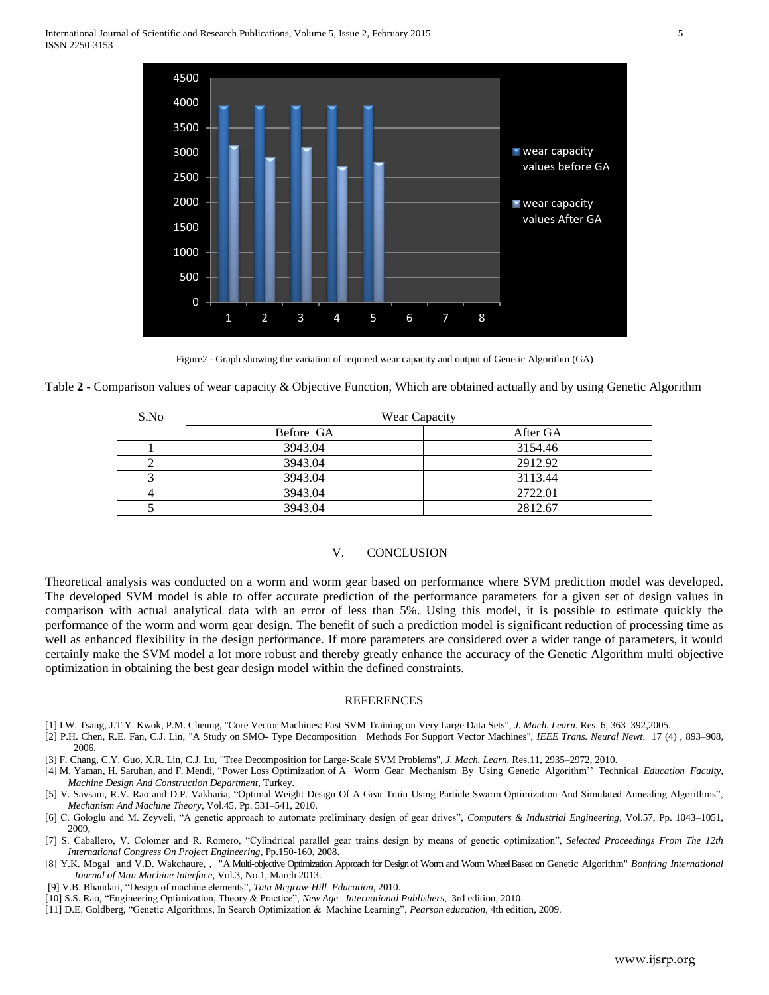

Figure2 - Graph showing the variation of required wear capacity and output of Genetic Algorithm (GA)

Table **2 -** Comparison values of wear capacity & Objective Function, Which are obtained actually and by using Genetic Algorithm

| S.No | Wear Capacity |          |  |  |  |
|------|---------------|----------|--|--|--|
|      | Before GA     | After GA |  |  |  |
|      | 3943.04       | 3154.46  |  |  |  |
|      | 3943.04       | 2912.92  |  |  |  |
|      | 3943.04       | 3113.44  |  |  |  |
|      | 3943.04       | 2722.01  |  |  |  |
|      | 3943.04       | 2812.67  |  |  |  |

# V. CONCLUSION

Theoretical analysis was conducted on a worm and worm gear based on performance where SVM prediction model was developed. The developed SVM model is able to offer accurate prediction of the performance parameters for a given set of design values in comparison with actual analytical data with an error of less than 5%. Using this model, it is possible to estimate quickly the performance of the worm and worm gear design. The benefit of such a prediction model is significant reduction of processing time as well as enhanced flexibility in the design performance. If more parameters are considered over a wider range of parameters, it would certainly make the SVM model a lot more robust and thereby greatly enhance the accuracy of the Genetic Algorithm multi objective optimization in obtaining the best gear design model within the defined constraints.

#### REFERENCES

- [1] I.W. Tsang, J.T.Y. Kwok, P.M. Cheung, "Core Vector Machines: Fast SVM Training on Very Large Data Sets", *J. Mach. Learn*. Res. 6, 363–392,2005.
- [2] P.H. Chen, R.E. Fan, C.J. Lin, "A Study on SMO- Type Decomposition Methods For Support Vector Machines", *IEEE Trans. Neural Newt*. 17 (4) , 893–908, 2006.
- [3] F. Chang, C.Y. Guo, X.R. Lin, C.J. Lu, "Tree Decomposition for Large-Scale SVM Problems", *J. Mach. Learn.* Res.11, 2935–2972, 2010.
- [4] M. Yaman, H. Saruhan, and F. Mendi, "Power Loss Optimization of A Worm Gear Mechanism By Using Genetic Algorithm'' Technical *Education Faculty, Machine Design And Construction Department,* Turkey.
- [5] V. Savsani, R.V. Rao and D.P. Vakharia, "Optimal Weight Design Of A Gear Train Using Particle Swarm Optimization And Simulated Annealing Algorithms", *Mechanism And Machine Theory*, Vol.45, Pp. 531–541, 2010.
- [6] C. Gologlu and M. Zeyveli, "A genetic approach to automate preliminary design of gear drives", *Computers & Industrial Engineering*, Vol.57, Pp. 1043–1051, 2009,
- [7] S. Caballero, V. Colomer and R. Romero, "Cylindrical parallel gear trains design by means of genetic optimization", *Selected Proceedings From The 12th International Congress On Project Engineering*, Pp.150-160, 2008.
- [8] Y.K. Mogal and V.D. Wakchaure, , "A Multi-objective Optimization Approach for Design of Worm and Worm WheelBased on Genetic Algorithm" *Bonfring International Journal of Man Machine Interface*, Vol.3, No.1, March 2013.
- [9] V.B. Bhandari, "Design of machine elements", *Tata Mcgraw-Hill Education,* 2010.
- [10] S.S. Rao, "Engineering Optimization, Theory & Practice", *New Age International Publishers*, 3rd edition, 2010.
- [11] D.E. Goldberg, "Genetic Algorithms, In Search Optimization & Machine Learning", *Pearson education*, 4th edition, 2009.